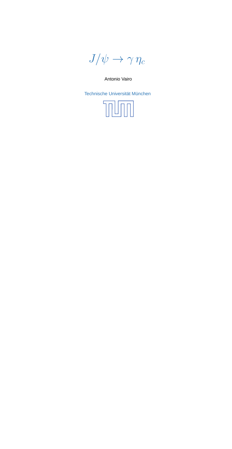$J/\psi \rightarrow \gamma \eta_c$ 

Antonio Vairo

Technische Universität München

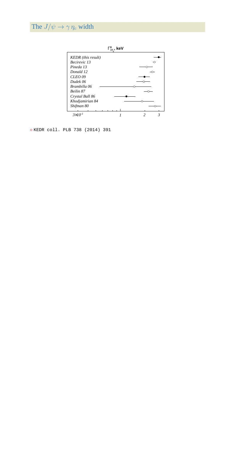## The  $J/\psi \rightarrow \gamma \eta_c$  width



◦ KEDR coll. PLB <sup>738</sup> (2014) <sup>391</sup>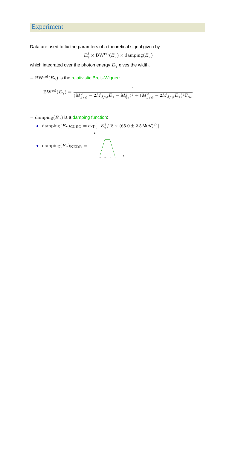## Experiment

Data are used to fix the paramters of <sup>a</sup> theoretical signal given by

$$
E^3_{\gamma} \times \mathrm{BW}^{\mathrm{rel}}(E_{\gamma}) \times \mathrm{damping}(E_{\gamma})
$$

which integrated over the photon energy  $E_\gamma$  gives the width.

− ${\rm -BW^{rel}}(E_ \gamma)$  is the relativistic Breit–Wigner:

BW<sup>rel</sup>(
$$
E_{\gamma}
$$
) = 
$$
\frac{1}{(M_{J/\psi}^2 - 2M_{J/\psi}E_{\gamma} - M_{\eta_c}^2)^2 + (M_{J/\psi}^2 - 2M_{J/\psi}E_{\gamma})^2\Gamma_{\eta_c}}
$$

 $-\operatorname{damping}(E_{\gamma})$  is a damping function:

• damping $(E_{\gamma})_{\text{CLEO}} = \exp[-E_{\gamma}^2/(8 \times (65.0 \pm 2.5 \,\text{MeV})^2)]$